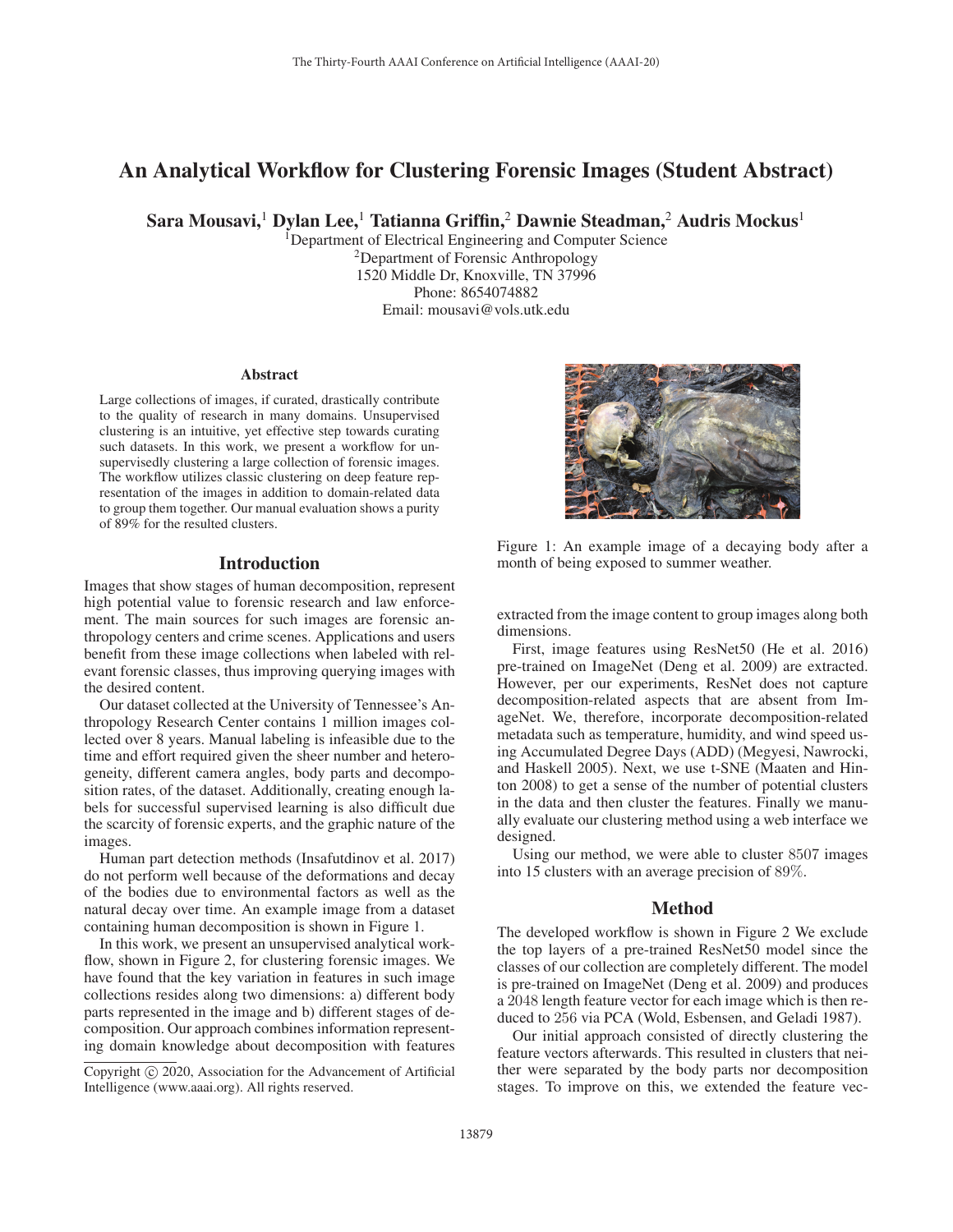# An Analytical Workflow for Clustering Forensic Images (Student Abstract)

Sara Mousavi,<sup>1</sup> Dylan Lee,<sup>1</sup> Tatianna Griffin,<sup>2</sup> Dawnie Steadman,<sup>2</sup> Audris Mockus<sup>1</sup>

<sup>I</sup>Department of Electrical Engineering and Computer Science 2Department of Forensic Anthropology 1520 Middle Dr, Knoxville, TN 37996 Phone: 8654074882 Email: mousavi@vols.utk.edu

#### Abstract

Large collections of images, if curated, drastically contribute to the quality of research in many domains. Unsupervised clustering is an intuitive, yet effective step towards curating such datasets. In this work, we present a workflow for unsupervisedly clustering a large collection of forensic images. The workflow utilizes classic clustering on deep feature representation of the images in addition to domain-related data to group them together. Our manual evaluation shows a purity of 89% for the resulted clusters.

## **Introduction**

Images that show stages of human decomposition, represent high potential value to forensic research and law enforcement. The main sources for such images are forensic anthropology centers and crime scenes. Applications and users benefit from these image collections when labeled with relevant forensic classes, thus improving querying images with the desired content.

Our dataset collected at the University of Tennessee's Anthropology Research Center contains 1 million images collected over 8 years. Manual labeling is infeasible due to the time and effort required given the sheer number and heterogeneity, different camera angles, body parts and decomposition rates, of the dataset. Additionally, creating enough labels for successful supervised learning is also difficult due the scarcity of forensic experts, and the graphic nature of the images.

Human part detection methods (Insafutdinov et al. 2017) do not perform well because of the deformations and decay of the bodies due to environmental factors as well as the natural decay over time. An example image from a dataset containing human decomposition is shown in Figure 1.

In this work, we present an unsupervised analytical workflow, shown in Figure 2, for clustering forensic images. We have found that the key variation in features in such image collections resides along two dimensions: a) different body parts represented in the image and b) different stages of decomposition. Our approach combines information representing domain knowledge about decomposition with features



Figure 1: An example image of a decaying body after a month of being exposed to summer weather.

extracted from the image content to group images along both dimensions.

First, image features using ResNet50 (He et al. 2016) pre-trained on ImageNet (Deng et al. 2009) are extracted. However, per our experiments, ResNet does not capture decomposition-related aspects that are absent from ImageNet. We, therefore, incorporate decomposition-related metadata such as temperature, humidity, and wind speed using Accumulated Degree Days (ADD) (Megyesi, Nawrocki, and Haskell 2005). Next, we use t-SNE (Maaten and Hinton 2008) to get a sense of the number of potential clusters in the data and then cluster the features. Finally we manually evaluate our clustering method using a web interface we designed.

Using our method, we were able to cluster 8507 images into 15 clusters with an average precision of 89%.

### Method

The developed workflow is shown in Figure 2 We exclude the top layers of a pre-trained ResNet50 model since the classes of our collection are completely different. The model is pre-trained on ImageNet (Deng et al. 2009) and produces a 2048 length feature vector for each image which is then reduced to 256 via PCA (Wold, Esbensen, and Geladi 1987).

Our initial approach consisted of directly clustering the feature vectors afterwards. This resulted in clusters that neither were separated by the body parts nor decomposition stages. To improve on this, we extended the feature vec-

Copyright  $\odot$  2020, Association for the Advancement of Artificial Intelligence (www.aaai.org). All rights reserved.